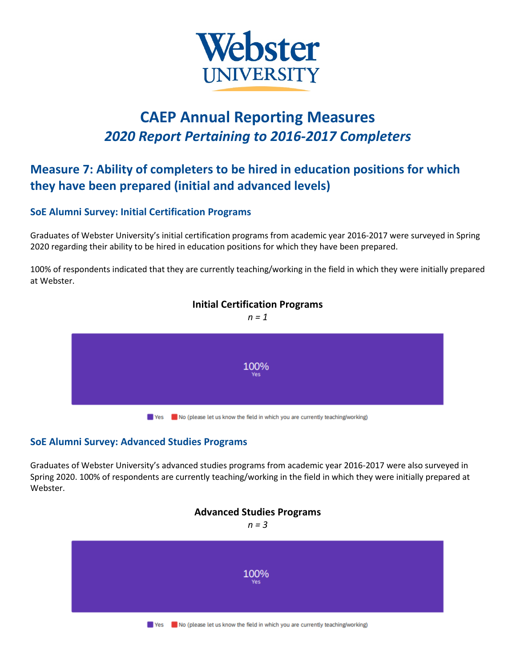

# **CAEP Annual Reporting Measures** *2020 Report Pertaining to 2016-2017 Completers*

## **Measure 7: Ability of completers to be hired in education positions for which they have been prepared (initial and advanced levels)**

### **SoE Alumni Survey: Initial Certification Programs**

Graduates of Webster University's initial certification programs from academic year 2016-2017 were surveyed in Spring 2020 regarding their ability to be hired in education positions for which they have been prepared.

100% of respondents indicated that they are currently teaching/working in the field in which they were initially prepared at Webster.



## **Initial Certification Programs**

#### **SoE Alumni Survey: Advanced Studies Programs**

Graduates of Webster University's advanced studies programs from academic year 2016-2017 were also surveyed in Spring 2020. 100% of respondents are currently teaching/working in the field in which they were initially prepared at Webster.